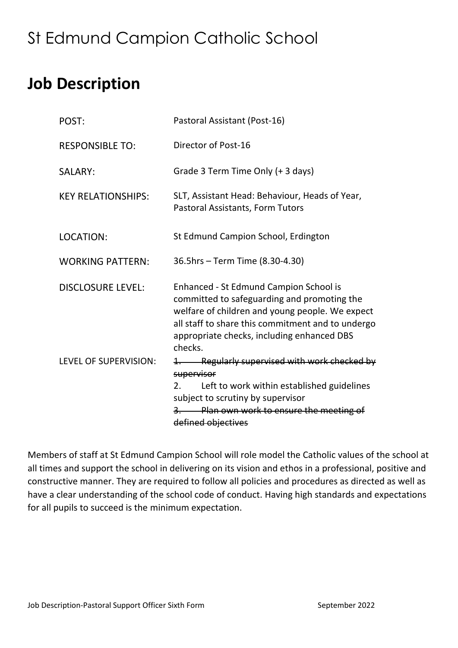# St Edmund Campion Catholic School

## **Job Description**

| POST:                     | Pastoral Assistant (Post-16)                                                                                                                                                                                                                                  |
|---------------------------|---------------------------------------------------------------------------------------------------------------------------------------------------------------------------------------------------------------------------------------------------------------|
| <b>RESPONSIBLE TO:</b>    | Director of Post-16                                                                                                                                                                                                                                           |
| SALARY:                   | Grade 3 Term Time Only (+ 3 days)                                                                                                                                                                                                                             |
| <b>KEY RELATIONSHIPS:</b> | SLT, Assistant Head: Behaviour, Heads of Year,<br>Pastoral Assistants, Form Tutors                                                                                                                                                                            |
| LOCATION:                 | St Edmund Campion School, Erdington                                                                                                                                                                                                                           |
| <b>WORKING PATTERN:</b>   | 36.5hrs - Term Time (8.30-4.30)                                                                                                                                                                                                                               |
| <b>DISCLOSURE LEVEL:</b>  | <b>Enhanced - St Edmund Campion School is</b><br>committed to safeguarding and promoting the<br>welfare of children and young people. We expect<br>all staff to share this commitment and to undergo<br>appropriate checks, including enhanced DBS<br>checks. |
| LEVEL OF SUPERVISION:     | 1. Regularly supervised with work checked by<br>supervisor<br>Left to work within established guidelines<br>2.<br>subject to scrutiny by supervisor<br>Plan own work to ensure the meeting of<br>$\frac{3}{2}$<br>defined objectives                          |

Members of staff at St Edmund Campion School will role model the Catholic values of the school at all times and support the school in delivering on its vision and ethos in a professional, positive and constructive manner. They are required to follow all policies and procedures as directed as well as have a clear understanding of the school code of conduct. Having high standards and expectations for all pupils to succeed is the minimum expectation.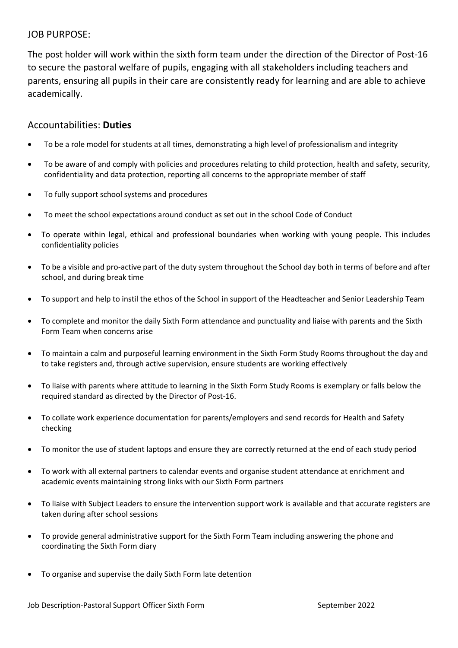#### JOB PURPOSE:

The post holder will work within the sixth form team under the direction of the Director of Post-16 to secure the pastoral welfare of pupils, engaging with all stakeholders including teachers and parents, ensuring all pupils in their care are consistently ready for learning and are able to achieve academically.

### Accountabilities: **Duties**

- To be a role model for students at all times, demonstrating a high level of professionalism and integrity
- To be aware of and comply with policies and procedures relating to child protection, health and safety, security, confidentiality and data protection, reporting all concerns to the appropriate member of staff
- To fully support school systems and procedures
- To meet the school expectations around conduct as set out in the school Code of Conduct
- To operate within legal, ethical and professional boundaries when working with young people. This includes confidentiality policies
- To be a visible and pro-active part of the duty system throughout the School day both in terms of before and after school, and during break time
- To support and help to instil the ethos of the School in support of the Headteacher and Senior Leadership Team
- To complete and monitor the daily Sixth Form attendance and punctuality and liaise with parents and the Sixth Form Team when concerns arise
- To maintain a calm and purposeful learning environment in the Sixth Form Study Rooms throughout the day and to take registers and, through active supervision, ensure students are working effectively
- To liaise with parents where attitude to learning in the Sixth Form Study Rooms is exemplary or falls below the required standard as directed by the Director of Post-16.
- To collate work experience documentation for parents/employers and send records for Health and Safety checking
- To monitor the use of student laptops and ensure they are correctly returned at the end of each study period
- To work with all external partners to calendar events and organise student attendance at enrichment and academic events maintaining strong links with our Sixth Form partners
- To liaise with Subject Leaders to ensure the intervention support work is available and that accurate registers are taken during after school sessions
- To provide general administrative support for the Sixth Form Team including answering the phone and coordinating the Sixth Form diary
- To organise and supervise the daily Sixth Form late detention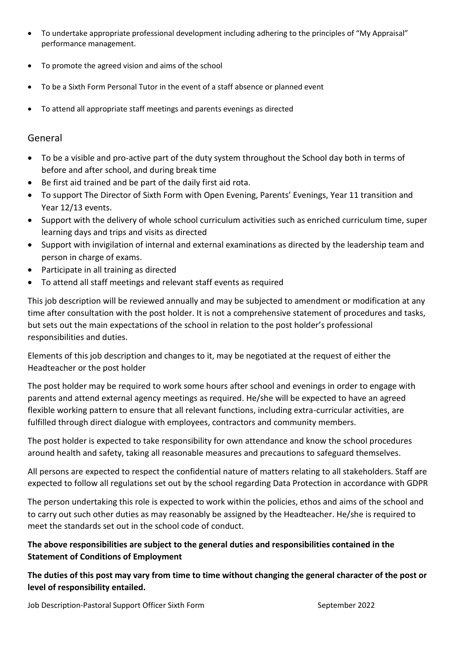- To undertake appropriate professional development including adhering to the principles of "My Appraisal" performance management.
- To promote the agreed vision and aims of the school
- To be a Sixth Form Personal Tutor in the event of a staff absence or planned event
- To attend all appropriate staff meetings and parents evenings as directed

#### General

- To be a visible and pro-active part of the duty system throughout the School day both in terms of before and after school, and during break time
- Be first aid trained and be part of the daily first aid rota.
- To support The Director of Sixth Form with Open Evening, Parents' Evenings, Year 11 transition and Year 12/13 events.
- Support with the delivery of whole school curriculum activities such as enriched curriculum time, super learning days and trips and visits as directed
- Support with invigilation of internal and external examinations as directed by the leadership team and person in charge of exams.
- Participate in all training as directed
- To attend all staff meetings and relevant staff events as required

This job description will be reviewed annually and may be subjected to amendment or modification at any time after consultation with the post holder. It is not a comprehensive statement of procedures and tasks, but sets out the main expectations of the school in relation to the post holder's professional responsibilities and duties.

Elements of this job description and changes to it, may be negotiated at the request of either the Headteacher or the post holder

The post holder may be required to work some hours after school and evenings in order to engage with parents and attend external agency meetings as required. He/she will be expected to have an agreed flexible working pattern to ensure that all relevant functions, including extra-curricular activities, are fulfilled through direct dialogue with employees, contractors and community members.

The post holder is expected to take responsibility for own attendance and know the school procedures around health and safety, taking all reasonable measures and precautions to safeguard themselves.

All persons are expected to respect the confidential nature of matters relating to all stakeholders. Staff are expected to follow all regulations set out by the school regarding Data Protection in accordance with GDPR

The person undertaking this role is expected to work within the policies, ethos and aims of the school and to carry out such other duties as may reasonably be assigned by the Headteacher. He/she is required to meet the standards set out in the school code of conduct.

### **The above responsibilities are subject to the general duties and responsibilities contained in the Statement of Conditions of Employment**

**The duties of this post may vary from time to time without changing the general character of the post or level of responsibility entailed.**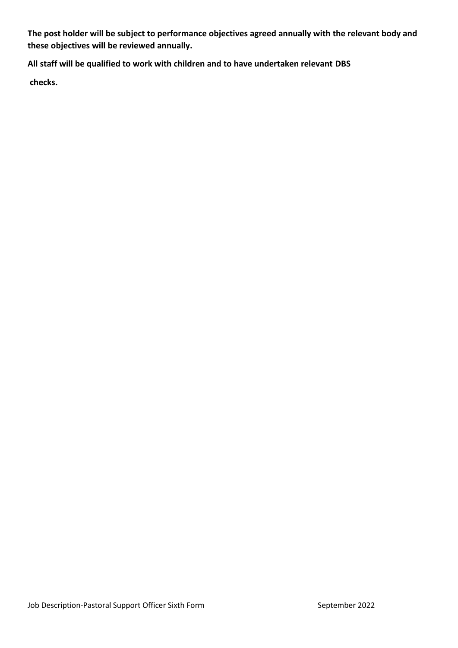**The post holder will be subject to performance objectives agreed annually with the relevant body and these objectives will be reviewed annually.** 

**All staff will be qualified to work with children and to have undertaken relevant DBS**

**checks.**